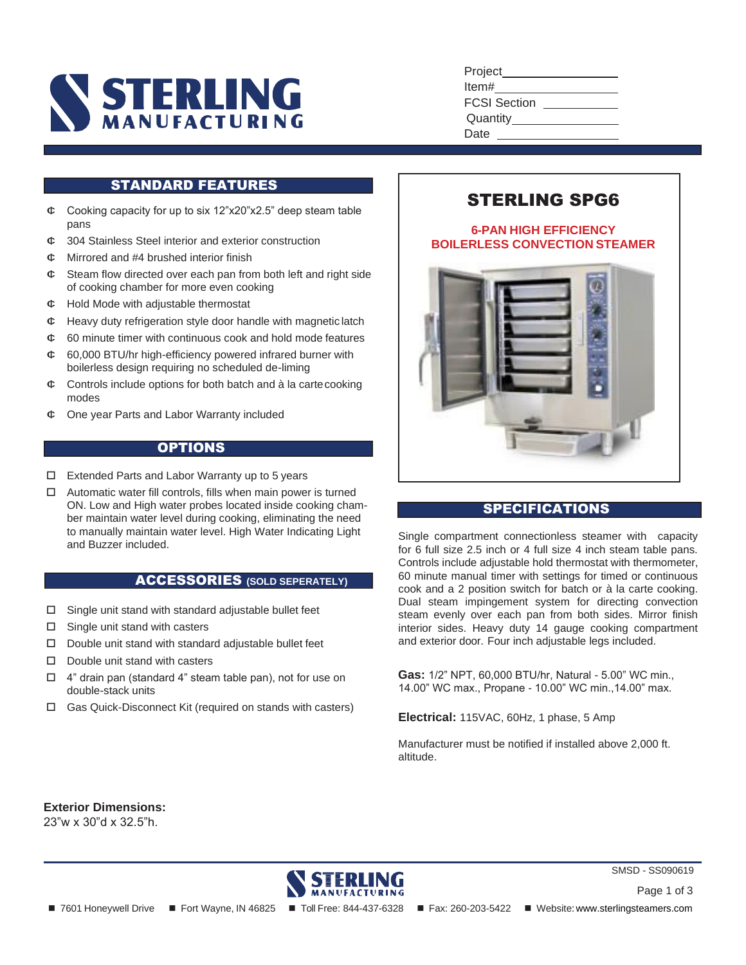

| Project             |  |
|---------------------|--|
| ltem#               |  |
| <b>FCSI Section</b> |  |
| Quantity____        |  |
| Date                |  |
|                     |  |

# STANDARD FEATURES

- $\phi$  Cooking capacity for up to six 12"x20"x2.5" deep steam table pans
- ¢ 304 Stainless Steel interior and exterior construction
- $\sigma$ . Mirrored and #4 brushed interior finish
- $\infty$  Steam flow directed over each pan from both left and right side of cooking chamber for more even cooking
- $\phi$  Hold Mode with adjustable thermostat
- $\phi$  Heavy duty refrigeration style door handle with magnetic latch
- $\infty$  60 minute timer with continuous cook and hold mode features
- $\infty$  60,000 BTU/hr high-efficiency powered infrared burner with boilerless design requiring no scheduled de-liming
- $\phi$  Controls include options for both batch and à la carte cooking modes
- $\phi$  One year Parts and Labor Warranty included

## **OPTIONS**

- Extended Parts and Labor Warranty up to 5 years
- $\Box$  Automatic water fill controls, fills when main power is turned ON. Low and High water probes located inside cooking chamber maintain water level during cooking, eliminating the need to manually maintain water level. High Water Indicating Light and Buzzer included.

#### ACCESSORIES **(SOLD SEPERATELY)**

- $\Box$  Single unit stand with standard adjustable bullet feet
- $\Box$  Single unit stand with casters
- $\Box$  Double unit stand with standard adjustable bullet feet
- $\square$  Double unit stand with casters
- 4" drain pan (standard 4" steam table pan), not for use on double-stack units
- Gas Quick-Disconnect Kit (required on stands with casters)

# STERLING SPG6

# **6-PAN HIGH EFFICIENCY BOILERLESS CONVECTION STEAMER**



# SPECIFICATIONS

Single compartment connectionless steamer with capacity for 6 full size 2.5 inch or 4 full size 4 inch steam table pans. Controls include adjustable hold thermostat with thermometer, 60 minute manual timer with settings for timed or continuous cook and a 2 position switch for batch or à la carte cooking. Dual steam impingement system for directing convection steam evenly over each pan from both sides. Mirror finish interior sides. Heavy duty 14 gauge cooking compartment and exterior door. Four inch adjustable legs included.

**Gas:** 1/2" NPT, 60,000 BTU/hr, Natural - 5.00" WC min., 14.00" WC max., Propane - 10.00" WC min.,14.00" max.

**Electrical:** 115VAC, 60Hz, 1 phase, 5 Amp

Manufacturer must be notified if installed above 2,000 ft. altitude.

**Exterior Dimensions:** 23"w x 30"d x 32.5"h.

MANUFACTURING

■ 7601 Honeywell Drive ■ Fort Wayne, IN 46825 ■ Toll Free: 844-437-6328 ■ Fax: 260-203-5422 ■ Website: [www.sterlingsteamers.com](http://www.sterlingsteamers.com/)

Page 1 of 3

SMSD - SS090619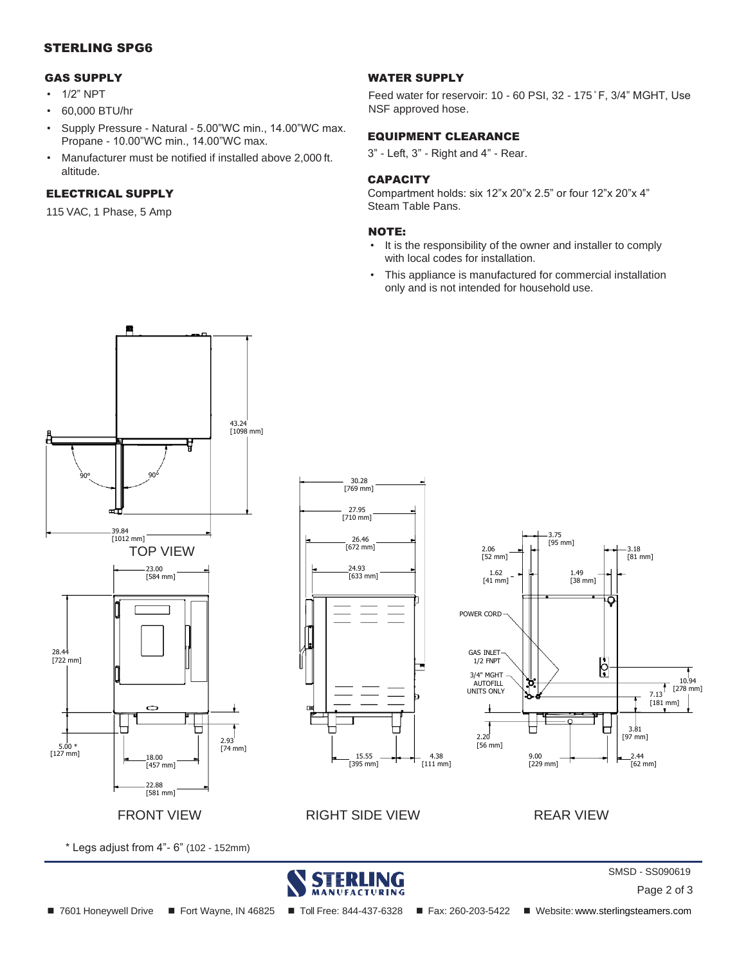## STERLING SPG6

#### GAS SUPPLY

- 1/2" NPT
- 60,000 BTU/hr
- Supply Pressure Natural 5.00"WC min., 14.00"WC max. Propane - 10.00"WC min., 14.00"WC max.
- Manufacturer must be notified if installed above 2,000 ft. altitude.

## ELECTRICAL SUPPLY

115 VAC, 1 Phase, 5 Amp

#### WATER SUPPLY

Feed water for reservoir: 10 - 60 PSI, 32 - 175 °F, 3/4" MGHT, Use NSF approved hose.

# EQUIPMENT CLEARANCE

3" - Left, 3" - Right and 4" - Rear.

#### **CAPACITY**

Compartment holds: six 12"x 20"x 2.5" or four 12"x 20"x 4" Steam Table Pans.

#### NOTE:

- It is the responsibility of the owner and installer to comply with local codes for installation.
- This appliance is manufactured for commercial installation only and is not intended for household use.